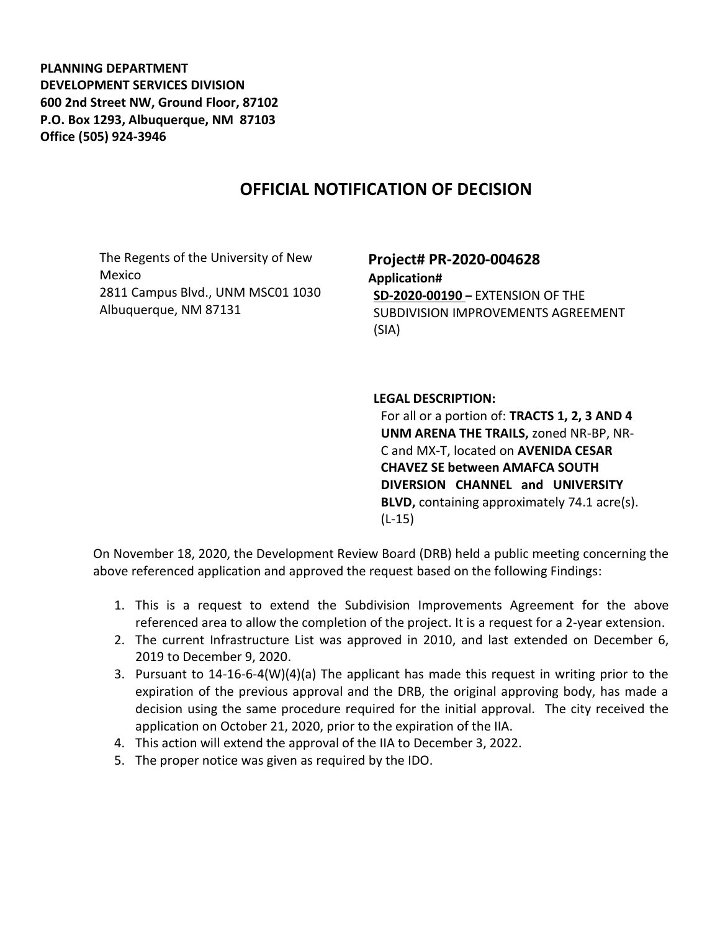**PLANNING DEPARTMENT DEVELOPMENT SERVICES DIVISION 600 2nd Street NW, Ground Floor, 87102 P.O. Box 1293, Albuquerque, NM 87103 Office (505) 924-3946** 

## **OFFICIAL NOTIFICATION OF DECISION**

The Regents of the University of New Mexico 2811 Campus Blvd., UNM MSC01 1030 Albuquerque, NM 87131

## **Project# PR-2020-004628 Application# SD-2020-00190 –** EXTENSION OF THE SUBDIVISION IMPROVEMENTS AGREEMENT (SIA)

## **LEGAL DESCRIPTION:**

For all or a portion of: **TRACTS 1, 2, 3 AND 4 UNM ARENA THE TRAILS,** zoned NR-BP, NR-C and MX-T, located on **AVENIDA CESAR CHAVEZ SE between AMAFCA SOUTH DIVERSION CHANNEL and UNIVERSITY BLVD,** containing approximately 74.1 acre(s). (L-15)

On November 18, 2020, the Development Review Board (DRB) held a public meeting concerning the above referenced application and approved the request based on the following Findings:

- 1. This is a request to extend the Subdivision Improvements Agreement for the above referenced area to allow the completion of the project. It is a request for a 2-year extension.
- 2. The current Infrastructure List was approved in 2010, and last extended on December 6, 2019 to December 9, 2020.
- 3. Pursuant to 14-16-6-4(W)(4)(a) The applicant has made this request in writing prior to the expiration of the previous approval and the DRB, the original approving body, has made a decision using the same procedure required for the initial approval. The city received the application on October 21, 2020, prior to the expiration of the IIA.
- 4. This action will extend the approval of the IIA to December 3, 2022.
- 5. The proper notice was given as required by the IDO.